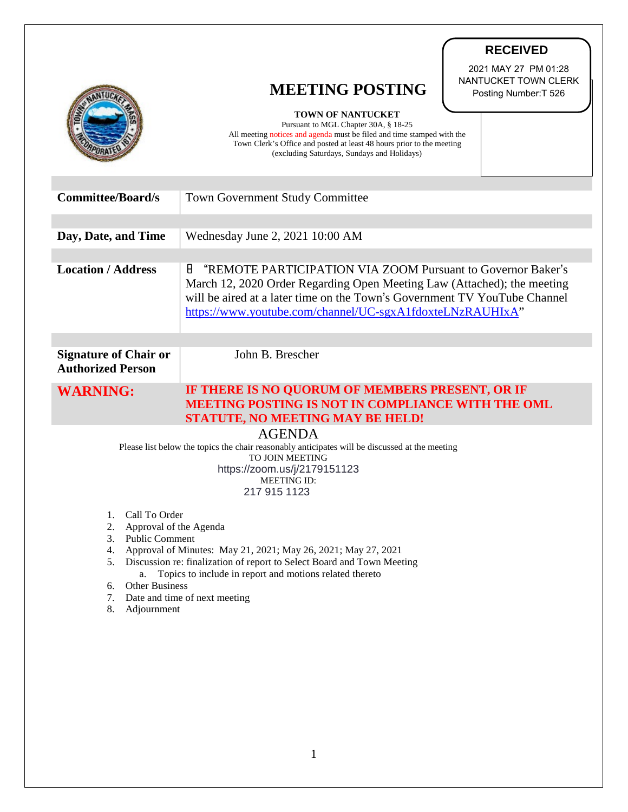|                                                                                                                                                                                                                                              | <b>RECEIVED</b><br>2021 MAY 27 PM 01:28<br>NANTUCKET TOWN CLERK<br><b>MEETING POSTING</b><br>Posting Number: T 526<br><b>TOWN OF NANTUCKET</b>                                                                                                                                        |
|----------------------------------------------------------------------------------------------------------------------------------------------------------------------------------------------------------------------------------------------|---------------------------------------------------------------------------------------------------------------------------------------------------------------------------------------------------------------------------------------------------------------------------------------|
|                                                                                                                                                                                                                                              | Pursuant to MGL Chapter 30A, § 18-25<br>All meeting notices and agenda must be filed and time stamped with the<br>Town Clerk's Office and posted at least 48 hours prior to the meeting<br>(excluding Saturdays, Sundays and Holidays)                                                |
| <b>Committee/Board/s</b>                                                                                                                                                                                                                     | <b>Town Government Study Committee</b>                                                                                                                                                                                                                                                |
| Day, Date, and Time                                                                                                                                                                                                                          | Wednesday June 2, 2021 10:00 AM                                                                                                                                                                                                                                                       |
| <b>Location / Address</b>                                                                                                                                                                                                                    | "REMOTE PARTICIPATION VIA ZOOM Pursuant to Governor Baker's<br>8<br>March 12, 2020 Order Regarding Open Meeting Law (Attached); the meeting<br>will be aired at a later time on the Town's Government TV YouTube Channel<br>https://www.youtube.com/channel/UC-sgxA1fdoxteLNzRAUHIxA" |
| <b>Signature of Chair or</b><br><b>Authorized Person</b>                                                                                                                                                                                     | John B. Brescher                                                                                                                                                                                                                                                                      |
| IF THERE IS NO QUORUM OF MEMBERS PRESENT, OR IF<br><b>WARNING:</b><br><b>MEETING POSTING IS NOT IN COMPLIANCE WITH THE OML</b><br><b>STATUTE, NO MEETING MAY BE HELD!</b>                                                                    |                                                                                                                                                                                                                                                                                       |
| <b>AGENDA</b><br>Please list below the topics the chair reasonably anticipates will be discussed at the meeting<br><b>TO JOIN MEETING</b><br>https://zoom.us/j/2179151123<br><b>MEETING ID:</b><br>217 915 1123                              |                                                                                                                                                                                                                                                                                       |
| Call To Order<br>1.<br>2.<br>Approval of the Agenda<br><b>Public Comment</b><br>3.                                                                                                                                                           |                                                                                                                                                                                                                                                                                       |
| Approval of Minutes: May 21, 2021; May 26, 2021; May 27, 2021<br>4.<br>Discussion re: finalization of report to Select Board and Town Meeting<br>5.<br>Topics to include in report and motions related thereto<br>a.<br>Other Business<br>6. |                                                                                                                                                                                                                                                                                       |
| Date and time of next meeting<br>7.<br>Adjournment<br>8.                                                                                                                                                                                     |                                                                                                                                                                                                                                                                                       |
|                                                                                                                                                                                                                                              |                                                                                                                                                                                                                                                                                       |

T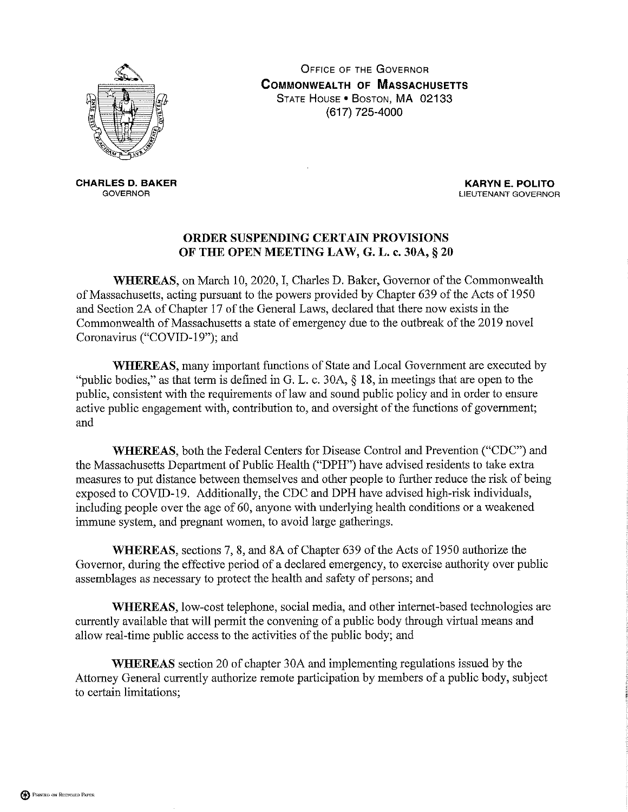

**OFFICE OF THE GOVERNOR COMMONWEALTH OF MASSACHUSETTS** STATE HOUSE . BOSTON, MA 02133 (617) 725-4000

**CHARLES D. BAKER GOVERNOR** 

**KARYN E. POLITO** LIEUTENANT GOVERNOR

## ORDER SUSPENDING CERTAIN PROVISIONS OF THE OPEN MEETING LAW, G. L. c. 30A, § 20

WHEREAS, on March 10, 2020, I, Charles D. Baker, Governor of the Commonwealth of Massachusetts, acting pursuant to the powers provided by Chapter 639 of the Acts of 1950 and Section 2A of Chapter 17 of the General Laws, declared that there now exists in the Commonwealth of Massachusetts a state of emergency due to the outbreak of the 2019 novel Coronavirus ("COVID-19"); and

**WHEREAS**, many important functions of State and Local Government are executed by "public bodies," as that term is defined in G. L. c. 30A,  $\S$  18, in meetings that are open to the public, consistent with the requirements of law and sound public policy and in order to ensure active public engagement with, contribution to, and oversight of the functions of government; and

WHEREAS, both the Federal Centers for Disease Control and Prevention ("CDC") and the Massachusetts Department of Public Health ("DPH") have advised residents to take extra measures to put distance between themselves and other people to further reduce the risk of being exposed to COVID-19. Additionally, the CDC and DPH have advised high-risk individuals, including people over the age of 60, anyone with underlying health conditions or a weakened immune system, and pregnant women, to avoid large gatherings.

WHEREAS, sections 7, 8, and 8A of Chapter 639 of the Acts of 1950 authorize the Governor, during the effective period of a declared emergency, to exercise authority over public assemblages as necessary to protect the health and safety of persons; and

WHEREAS, low-cost telephone, social media, and other internet-based technologies are currently available that will permit the convening of a public body through virtual means and allow real-time public access to the activities of the public body; and

**WHEREAS** section 20 of chapter 30A and implementing regulations issued by the Attorney General currently authorize remote participation by members of a public body, subject to certain limitations;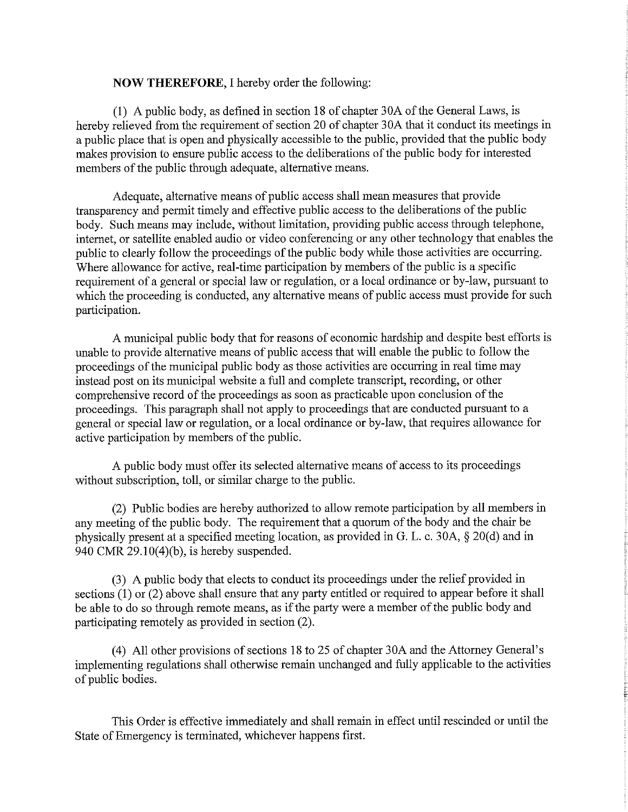## **NOW THEREFORE, I hereby order the following:**

(1) A public body, as defined in section 18 of chapter 30A of the General Laws, is hereby relieved from the requirement of section 20 of chapter 30A that it conduct its meetings in a public place that is open and physically accessible to the public, provided that the public body makes provision to ensure public access to the deliberations of the public body for interested members of the public through adequate, alternative means.

Adequate, alternative means of public access shall mean measures that provide transparency and permit timely and effective public access to the deliberations of the public body. Such means may include, without limitation, providing public access through telephone, internet, or satellite enabled audio or video conferencing or any other technology that enables the public to clearly follow the proceedings of the public body while those activities are occurring. Where allowance for active, real-time participation by members of the public is a specific requirement of a general or special law or regulation, or a local ordinance or by-law, pursuant to which the proceeding is conducted, any alternative means of public access must provide for such participation.

A municipal public body that for reasons of economic hardship and despite best efforts is unable to provide alternative means of public access that will enable the public to follow the proceedings of the municipal public body as those activities are occurring in real time may instead post on its municipal website a full and complete transcript, recording, or other comprehensive record of the proceedings as soon as practicable upon conclusion of the proceedings. This paragraph shall not apply to proceedings that are conducted pursuant to a general or special law or regulation, or a local ordinance or by-law, that requires allowance for active participation by members of the public.

A public body must offer its selected alternative means of access to its proceedings without subscription, toll, or similar charge to the public.

(2) Public bodies are hereby authorized to allow remote participation by all members in any meeting of the public body. The requirement that a quorum of the body and the chair be physically present at a specified meeting location, as provided in G. L. c. 30A, § 20(d) and in 940 CMR  $29.10(4)(b)$ , is hereby suspended.

(3) A public body that elects to conduct its proceedings under the relief provided in sections  $(1)$  or  $(2)$  above shall ensure that any party entitled or required to appear before it shall be able to do so through remote means, as if the party were a member of the public body and participating remotely as provided in section (2).

(4) All other provisions of sections 18 to 25 of chapter 30A and the Attorney General's implementing regulations shall otherwise remain unchanged and fully applicable to the activities of public bodies.

This Order is effective immediately and shall remain in effect until rescinded or until the State of Emergency is terminated, whichever happens first.